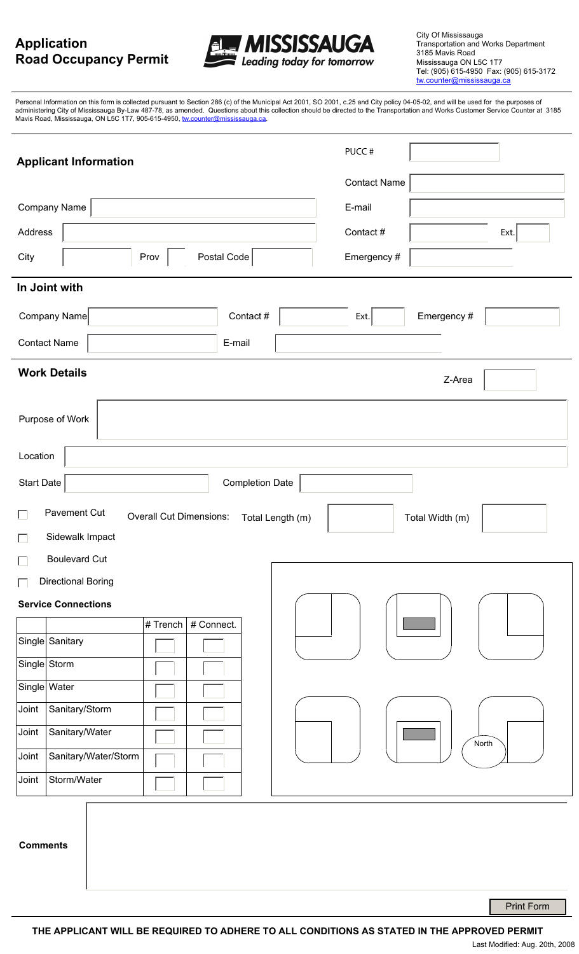# **Application Road Occupancy Permit**



City Of Mississauga Transportation and Works Department 3185 Mavis Road Mississauga ON L5C 1T7 Tel: (905) 615-4950 Fax: (905) 615-3172 tw.counter@mississauga.ca

Personal Information on this form is collected pursuant to Section 286 (c) of the Municipal Act 2001, SO 2001, c.25 and City policy 04-05-02, and will be used for the purposes of administering City of Mississauga By-Law 487-78, as amended. Questions about this collection should be directed to the Transportation and Works Customer Service Counter at 3185 Mavis Road, Mississauga, ON L5C 1T7, 905-615-4950, <u>tw.counter@mississauga.ca</u>.

| <b>Applicant Information</b>                                                                    | PUCC#               |
|-------------------------------------------------------------------------------------------------|---------------------|
|                                                                                                 | <b>Contact Name</b> |
| Company Name                                                                                    | E-mail              |
| Address                                                                                         | Contact#<br>Ext.    |
| Postal Code<br>City<br>Prov                                                                     | Emergency #         |
| In Joint with                                                                                   |                     |
| Company Name<br>Contact #                                                                       | Emergency #<br>Ext. |
| <b>Contact Name</b><br>E-mail                                                                   |                     |
| <b>Work Details</b><br>Z-Area                                                                   |                     |
| Purpose of Work                                                                                 |                     |
| Location                                                                                        |                     |
| <b>Start Date</b><br><b>Completion Date</b>                                                     |                     |
| Pavement Cut<br>$\Box$<br><b>Overall Cut Dimensions:</b><br>Total Length (m)<br>Total Width (m) |                     |
| Sidewalk Impact<br>$\Box$                                                                       |                     |
| $\Box$<br><b>Boulevard Cut</b>                                                                  |                     |
| Directional Boring<br>$\Box$                                                                    |                     |
| <b>Service Connections</b>                                                                      |                     |
| # Connect.<br># Trench $ $                                                                      |                     |
| Single Sanitary                                                                                 |                     |
| Single Storm                                                                                    |                     |
| Single Water                                                                                    |                     |
| Joint<br>Sanitary/Storm                                                                         |                     |
| Joint<br>Sanitary/Water                                                                         | North               |
| Sanitary/Water/Storm<br>Joint                                                                   |                     |
| Storm/Water<br>Joint                                                                            |                     |
| <b>Comments</b>                                                                                 |                     |